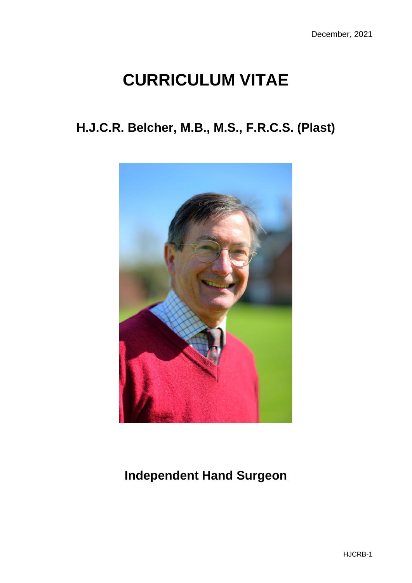# **CURRICULUM VITAE**

## **H.J.C.R. Belcher, M.B., M.S., F.R.C.S. (Plast)**



# **Independent Hand Surgeon**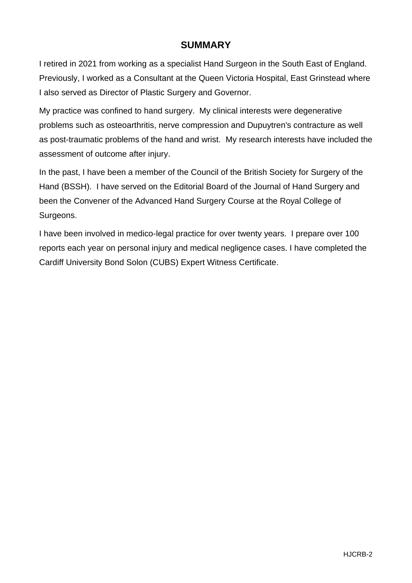## **SUMMARY**

I retired in 2021 from working as a specialist Hand Surgeon in the South East of England. Previously, I worked as a Consultant at the Queen Victoria Hospital, East Grinstead where I also served as Director of Plastic Surgery and Governor.

My practice was confined to hand surgery. My clinical interests were degenerative problems such as osteoarthritis, nerve compression and Dupuytren's contracture as well as post-traumatic problems of the hand and wrist. My research interests have included the assessment of outcome after injury.

In the past, I have been a member of the Council of the British Society for Surgery of the Hand (BSSH). I have served on the Editorial Board of the Journal of Hand Surgery and been the Convener of the Advanced Hand Surgery Course at the Royal College of Surgeons.

I have been involved in medico-legal practice for over twenty years. I prepare over 100 reports each year on personal injury and medical negligence cases. I have completed the Cardiff University Bond Solon (CUBS) Expert Witness Certificate.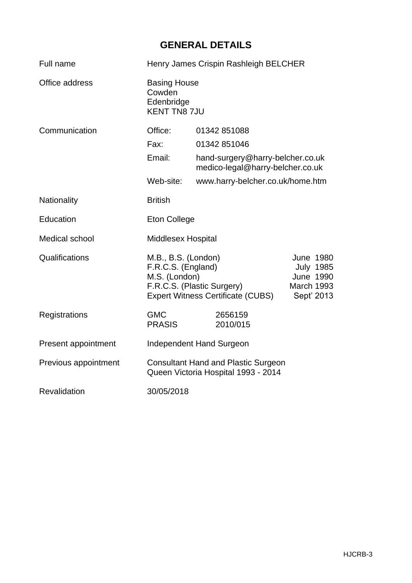## **GENERAL DETAILS**

| Full name            | Henry James Crispin Rashleigh BELCHER                                                                                                |                                                                      |                                                                                      |  |
|----------------------|--------------------------------------------------------------------------------------------------------------------------------------|----------------------------------------------------------------------|--------------------------------------------------------------------------------------|--|
| Office address       | Cowden<br>Edenbridge                                                                                                                 | <b>Basing House</b><br><b>KENT TN8 7JU</b>                           |                                                                                      |  |
| Communication        | Office:                                                                                                                              | 01342 851088                                                         |                                                                                      |  |
|                      | Fax:                                                                                                                                 | 01342 851046                                                         |                                                                                      |  |
|                      | Email:                                                                                                                               | hand-surgery@harry-belcher.co.uk<br>medico-legal@harry-belcher.co.uk |                                                                                      |  |
|                      | Web-site:                                                                                                                            | www.harry-belcher.co.uk/home.htm                                     |                                                                                      |  |
| Nationality          | <b>British</b>                                                                                                                       |                                                                      |                                                                                      |  |
| Education            | <b>Eton College</b>                                                                                                                  |                                                                      |                                                                                      |  |
| Medical school       | <b>Middlesex Hospital</b>                                                                                                            |                                                                      |                                                                                      |  |
| Qualifications       | M.B., B.S. (London)<br>F.R.C.S. (England)<br>M.S. (London)<br>F.R.C.S. (Plastic Surgery)<br><b>Expert Witness Certificate (CUBS)</b> |                                                                      | <b>June 1980</b><br><b>July 1985</b><br><b>June 1990</b><br>March 1993<br>Sept' 2013 |  |
| Registrations        | <b>GMC</b><br><b>PRASIS</b>                                                                                                          | 2656159<br>2010/015                                                  |                                                                                      |  |
| Present appointment  |                                                                                                                                      | Independent Hand Surgeon                                             |                                                                                      |  |
| Previous appointment | <b>Consultant Hand and Plastic Surgeon</b><br>Queen Victoria Hospital 1993 - 2014                                                    |                                                                      |                                                                                      |  |
| Revalidation         | 30/05/2018                                                                                                                           |                                                                      |                                                                                      |  |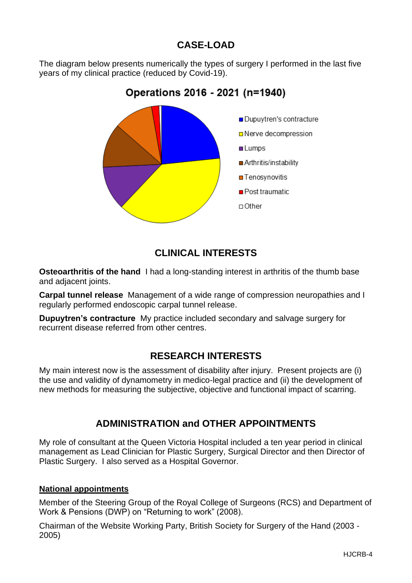## **CASE-LOAD**

The diagram below presents numerically the types of surgery I performed in the last five years of my clinical practice (reduced by Covid-19).

# Dupuytren's contracture □ Nerve decompression **Lumps** Arthritis/instability

## Operations 2016 - 2021 (n=1940)



- Post traumatic
- $\Box$  Other

## **CLINICAL INTERESTS**

**Osteoarthritis of the hand** I had a long-standing interest in arthritis of the thumb base and adjacent joints.

**Carpal tunnel release** Management of a wide range of compression neuropathies and I regularly performed endoscopic carpal tunnel release.

**Dupuytren's contracture** My practice included secondary and salvage surgery for recurrent disease referred from other centres.

## **RESEARCH INTERESTS**

My main interest now is the assessment of disability after injury. Present projects are (i) the use and validity of dynamometry in medico-legal practice and (ii) the development of new methods for measuring the subjective, objective and functional impact of scarring.

## **ADMINISTRATION and OTHER APPOINTMENTS**

My role of consultant at the Queen Victoria Hospital included a ten year period in clinical management as Lead Clinician for Plastic Surgery, Surgical Director and then Director of Plastic Surgery. I also served as a Hospital Governor.

#### **National appointments**

Member of the Steering Group of the Royal College of Surgeons (RCS) and Department of Work & Pensions (DWP) on "Returning to work" (2008).

Chairman of the Website Working Party, British Society for Surgery of the Hand (2003 - 2005)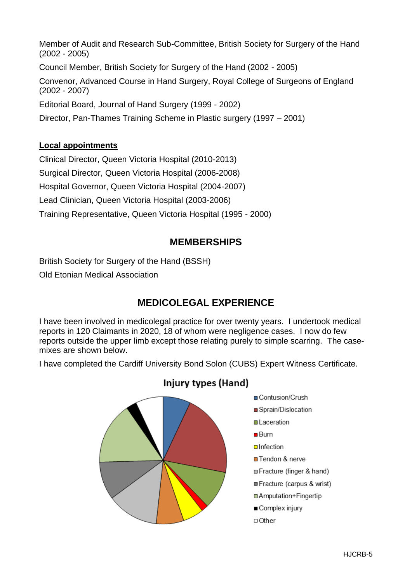Member of Audit and Research Sub-Committee, British Society for Surgery of the Hand (2002 - 2005) Council Member, British Society for Surgery of the Hand (2002 - 2005) Convenor, Advanced Course in Hand Surgery, Royal College of Surgeons of England (2002 - 2007) Editorial Board, Journal of Hand Surgery (1999 - 2002) Director, Pan-Thames Training Scheme in Plastic surgery (1997 – 2001)

#### **Local appointments**

Clinical Director, Queen Victoria Hospital (2010-2013)

Surgical Director, Queen Victoria Hospital (2006-2008)

Hospital Governor, Queen Victoria Hospital (2004-2007)

Lead Clinician, Queen Victoria Hospital (2003-2006)

Training Representative, Queen Victoria Hospital (1995 - 2000)

## **MEMBERSHIPS**

British Society for Surgery of the Hand (BSSH)

Old Etonian Medical Association

## **MEDICOLEGAL EXPERIENCE**

I have been involved in medicolegal practice for over twenty years. I undertook medical reports in 120 Claimants in 2020, 18 of whom were negligence cases. I now do few reports outside the upper limb except those relating purely to simple scarring. The casemixes are shown below.

I have completed the Cardiff University Bond Solon (CUBS) Expert Witness Certificate.



## Injury types (Hand)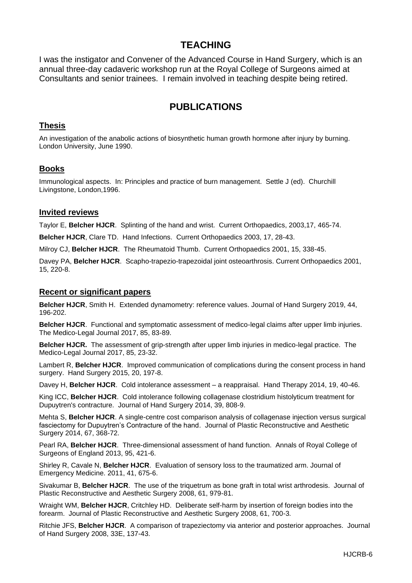### **TEACHING**

I was the instigator and Convener of the Advanced Course in Hand Surgery, which is an annual three-day cadaveric workshop run at the Royal College of Surgeons aimed at Consultants and senior trainees. I remain involved in teaching despite being retired.

## **PUBLICATIONS**

#### **Thesis**

An investigation of the anabolic actions of biosynthetic human growth hormone after injury by burning. London University, June 1990.

#### **Books**

Immunological aspects. In: Principles and practice of burn management. Settle J (ed). Churchill Livingstone, London,1996.

#### **Invited reviews**

Taylor E, **Belcher HJCR**. Splinting of the hand and wrist. Current Orthopaedics, 2003,17, 465-74.

**Belcher HJCR**, Clare TD. Hand Infections. Current Orthopaedics 2003, 17, 28-43.

Milroy CJ, **Belcher HJCR**. The Rheumatoid Thumb. Current Orthopaedics 2001, 15, 338-45.

Davey PA, **Belcher HJCR**. Scapho-trapezio-trapezoidal joint osteoarthrosis. Current Orthopaedics 2001, 15, 220-8.

#### **Recent or significant papers**

**Belcher HJCR**, Smith H. Extended dynamometry: reference values. Journal of Hand Surgery 2019, 44, 196-202.

**Belcher HJCR**. Functional and symptomatic assessment of medico-legal claims after upper limb injuries. The Medico-Legal Journal 2017, 85, 83-89.

**Belcher HJCR.** The assessment of grip-strength after upper limb injuries in medico-legal practice. The Medico-Legal Journal 2017, 85, 23-32.

Lambert R, **Belcher HJCR**. Improved communication of complications during the consent process in hand surgery. Hand Surgery 2015, 20, 197-8.

Davey H, **Belcher HJCR**. Cold intolerance assessment – a reappraisal. Hand Therapy 2014, 19, 40-46.

King ICC, **Belcher HJCR**. Cold intolerance following collagenase clostridium histolyticum treatment for Dupuytren's contracture. Journal of Hand Surgery 2014, 39, 808-9.

Mehta S, **Belcher HJCR**. A single-centre cost comparison analysis of collagenase injection versus surgical fasciectomy for Dupuytren's Contracture of the hand. Journal of Plastic Reconstructive and Aesthetic Surgery 2014, 67, 368-72.

Pearl RA, **Belcher HJCR**. Three-dimensional assessment of hand function. Annals of Royal College of Surgeons of England 2013, 95, 421-6.

Shirley R, Cavale N, **Belcher HJCR**. Evaluation of sensory loss to the traumatized arm. Journal of Emergency Medicine. 2011, 41, 675-6.

Sivakumar B, **Belcher HJCR**. The use of the triquetrum as bone graft in total wrist arthrodesis. Journal of Plastic Reconstructive and Aesthetic Surgery 2008, 61, 979-81.

Wraight WM, **Belcher HJCR**, Critchley HD. Deliberate self-harm by insertion of foreign bodies into the forearm. Journal of Plastic Reconstructive and Aesthetic Surgery 2008, 61, 700-3*.*

Ritchie JFS, **Belcher HJCR**. A comparison of trapeziectomy via anterior and posterior approaches. Journal of Hand Surgery 2008, 33E, 137-43.